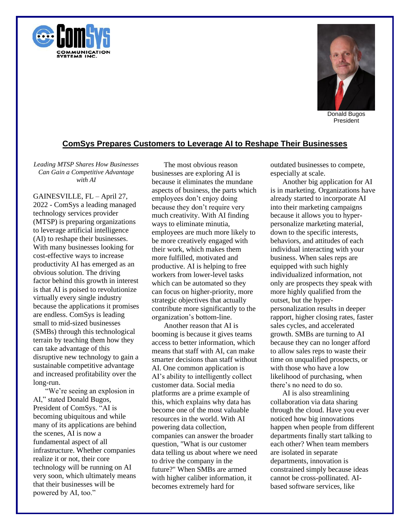



President

## **ComSys Prepares Customers to Leverage AI to Reshape Their Businesses**

*Leading MTSP Shares How Businesses Can Gain a Competitive Advantage with AI*

GAINESVILLE, FL – April 27, 2022 - ComSys a leading managed technology services provider (MTSP) is preparing organizations to leverage artificial intelligence (AI) to reshape their businesses. With many businesses looking for cost-effective ways to increase productivity AI has emerged as an obvious solution. The driving factor behind this growth in interest is that AI is poised to revolutionize virtually every single industry because the applications it promises are endless. ComSys is leading small to mid-sized businesses (SMBs) through this technological terrain by teaching them how they can take advantage of this disruptive new technology to gain a sustainable competitive advantage and increased profitability over the long-run.

"We're seeing an explosion in AI," stated Donald Bugos, President of ComSys. "AI is becoming ubiquitous and while many of its applications are behind the scenes, AI is now a fundamental aspect of all infrastructure. Whether companies realize it or not, their core technology will be running on AI very soon, which ultimately means that their businesses will be powered by AI, too."

The most obvious reason businesses are exploring AI is because it eliminates the mundane aspects of business, the parts which employees don't enjoy doing because they don't require very much creativity. With AI finding ways to eliminate minutia, employees are much more likely to be more creatively engaged with their work, which makes them more fulfilled, motivated and productive. AI is helping to free workers from lower-level tasks which can be automated so they can focus on higher-priority, more strategic objectives that actually contribute more significantly to the organization's bottom-line.

Another reason that AI is booming is because it gives teams access to better information, which means that staff with AI, can make smarter decisions than staff without AI. One common application is AI's ability to intelligently collect customer data. Social media platforms are a prime example of this, which explains why data has become one of the most valuable resources in the world. With AI powering data collection, companies can answer the broader question, "What is our customer data telling us about where we need to drive the company in the future?" When SMBs are armed with higher caliber information, it becomes extremely hard for

outdated businesses to compete, especially at scale.

Another big application for AI is in marketing. Organizations have already started to incorporate AI into their marketing campaigns because it allows you to hyperpersonalize marketing material, down to the specific interests, behaviors, and attitudes of each individual interacting with your business. When sales reps are equipped with such highly individualized information, not only are prospects they speak with more highly qualified from the outset, but the hyperpersonalization results in deeper rapport, higher closing rates, faster sales cycles, and accelerated growth. SMBs are turning to AI because they can no longer afford to allow sales reps to waste their time on unqualified prospects, or with those who have a low likelihood of purchasing, when there's no need to do so.

AI is also streamlining collaboration via data sharing through the cloud. Have you ever noticed how big innovations happen when people from different departments finally start talking to each other? When team members are isolated in separate departments, innovation is constrained simply because ideas cannot be cross-pollinated. AIbased software services, like